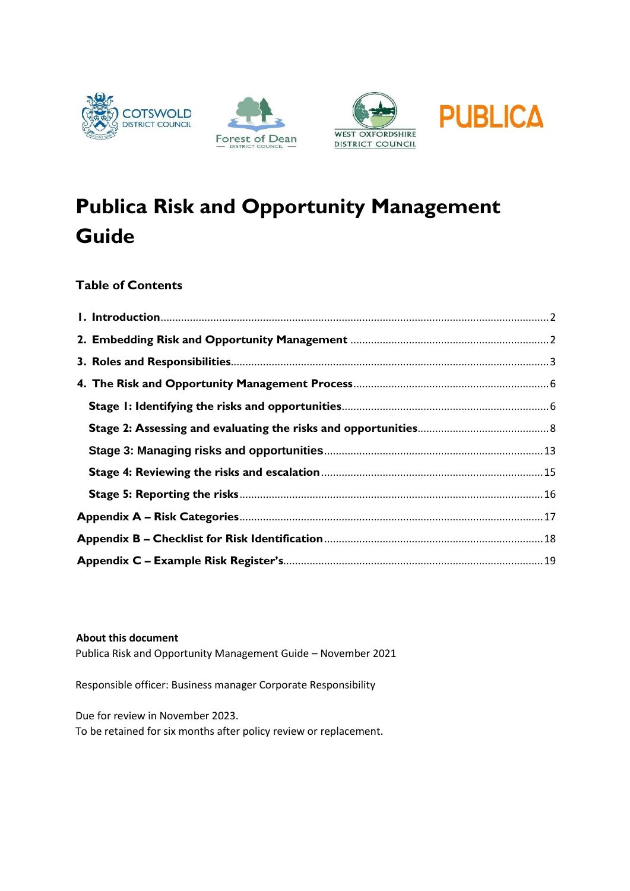







# **Publica Risk and Opportunity Management Guide**

#### **Table of Contents**

#### **About this document**

Publica Risk and Opportunity Management Guide – November 2021

Responsible officer: Business manager Corporate Responsibility

Due for review in November 2023.

To be retained for six months after policy review or replacement.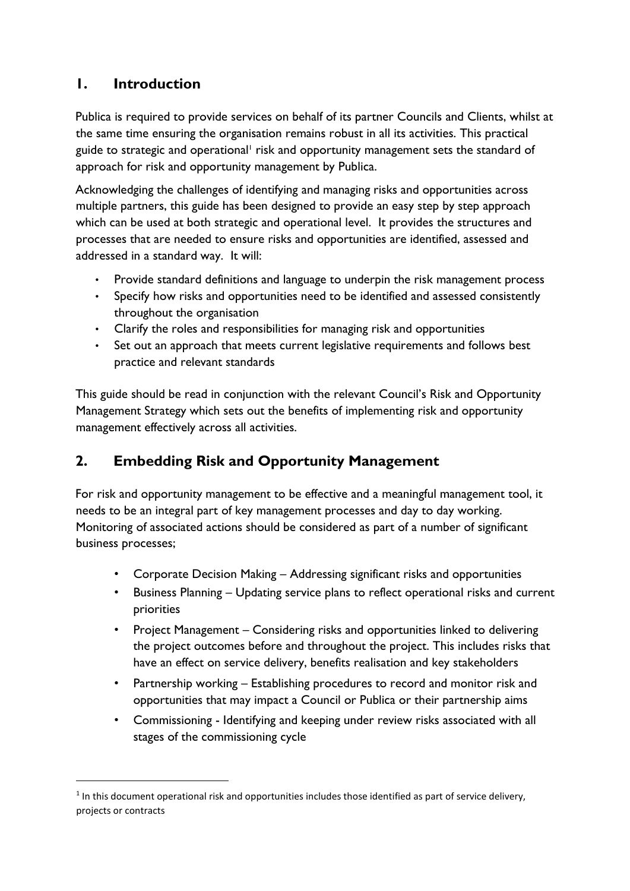### <span id="page-1-0"></span>**1. Introduction**

1

Publica is required to provide services on behalf of its partner Councils and Clients, whilst at the same time ensuring the organisation remains robust in all its activities. This practical guide to strategic and operational<sup>1</sup> risk and opportunity management sets the standard of approach for risk and opportunity management by Publica.

Acknowledging the challenges of identifying and managing risks and opportunities across multiple partners, this guide has been designed to provide an easy step by step approach which can be used at both strategic and operational level. It provides the structures and processes that are needed to ensure risks and opportunities are identified, assessed and addressed in a standard way. It will:

- Provide standard definitions and language to underpin the risk management process
- Specify how risks and opportunities need to be identified and assessed consistently throughout the organisation
- Clarify the roles and responsibilities for managing risk and opportunities
- Set out an approach that meets current legislative requirements and follows best practice and relevant standards

This guide should be read in conjunction with the relevant Council's Risk and Opportunity Management Strategy which sets out the benefits of implementing risk and opportunity management effectively across all activities.

### <span id="page-1-1"></span>**2. Embedding Risk and Opportunity Management**

For risk and opportunity management to be effective and a meaningful management tool, it needs to be an integral part of key management processes and day to day working. Monitoring of associated actions should be considered as part of a number of significant business processes;

- Corporate Decision Making Addressing significant risks and opportunities
- Business Planning Updating service plans to reflect operational risks and current priorities
- Project Management Considering risks and opportunities linked to delivering the project outcomes before and throughout the project. This includes risks that have an effect on service delivery, benefits realisation and key stakeholders
- Partnership working Establishing procedures to record and monitor risk and opportunities that may impact a Council or Publica or their partnership aims
- Commissioning Identifying and keeping under review risks associated with all stages of the commissioning cycle

<sup>&</sup>lt;sup>1</sup> In this document operational risk and opportunities includes those identified as part of service delivery, projects or contracts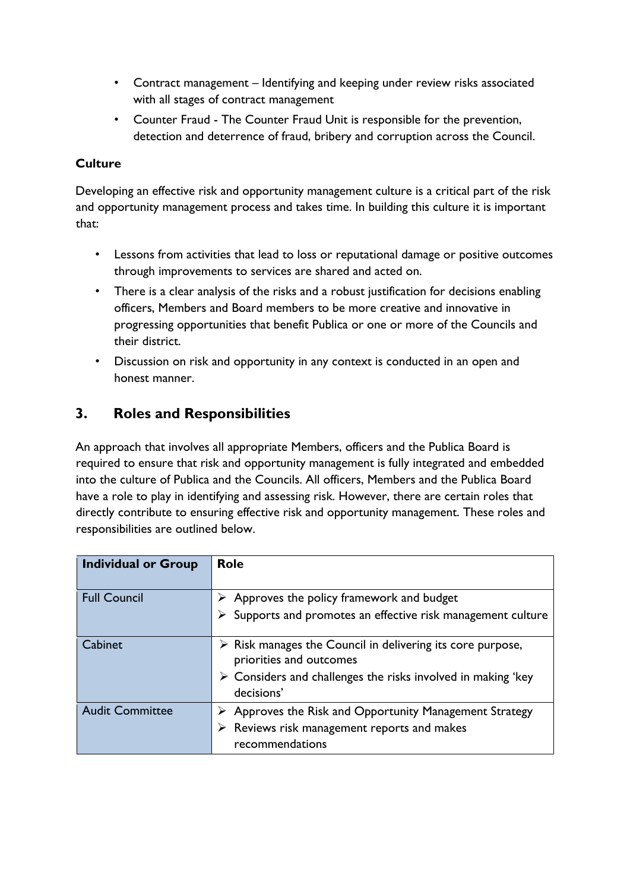- Contract management Identifying and keeping under review risks associated with all stages of contract management
- Counter Fraud The Counter Fraud Unit is responsible for the prevention, detection and deterrence of fraud, bribery and corruption across the Council.

#### **Culture**

Developing an effective risk and opportunity management culture is a critical part of the risk and opportunity management process and takes time. In building this culture it is important that:

- Lessons from activities that lead to loss or reputational damage or positive outcomes through improvements to services are shared and acted on.
- There is a clear analysis of the risks and a robust justification for decisions enabling officers, Members and Board members to be more creative and innovative in progressing opportunities that benefit Publica or one or more of the Councils and their district.
- Discussion on risk and opportunity in any context is conducted in an open and honest manner.

### <span id="page-2-0"></span>**3. Roles and Responsibilities**

An approach that involves all appropriate Members, officers and the Publica Board is required to ensure that risk and opportunity management is fully integrated and embedded into the culture of Publica and the Councils. All officers, Members and the Publica Board have a role to play in identifying and assessing risk. However, there are certain roles that directly contribute to ensuring effective risk and opportunity management. These roles and responsibilities are outlined below.

| <b>Individual or Group</b> | <b>Role</b>                                                                                          |
|----------------------------|------------------------------------------------------------------------------------------------------|
| <b>Full Council</b>        | Approves the policy framework and budget                                                             |
|                            | $\triangleright$ Supports and promotes an effective risk management culture                          |
| Cabinet                    | $\triangleright$ Risk manages the Council in delivering its core purpose,<br>priorities and outcomes |
|                            | $\triangleright$ Considers and challenges the risks involved in making 'key<br>decisions'            |
| <b>Audit Committee</b>     | $\triangleright$ Approves the Risk and Opportunity Management Strategy                               |
|                            | Reviews risk management reports and makes<br>recommendations                                         |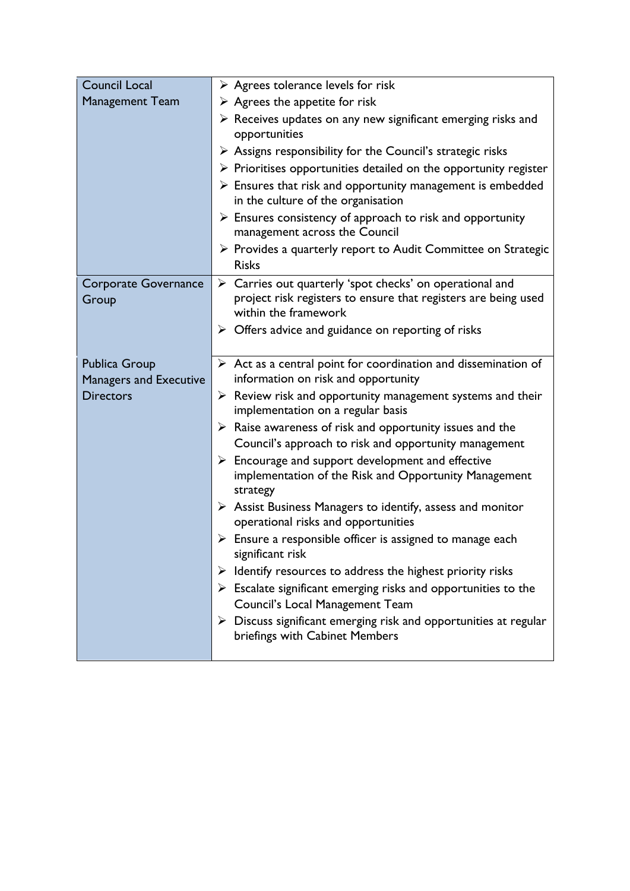| <b>Council Local</b>          | $\triangleright$ Agrees tolerance levels for risk                                                                                         |
|-------------------------------|-------------------------------------------------------------------------------------------------------------------------------------------|
| <b>Management Team</b>        | $\triangleright$ Agrees the appetite for risk                                                                                             |
|                               | $\triangleright$ Receives updates on any new significant emerging risks and                                                               |
|                               | opportunities                                                                                                                             |
|                               | $\triangleright$ Assigns responsibility for the Council's strategic risks                                                                 |
|                               | $\triangleright$ Prioritises opportunities detailed on the opportunity register                                                           |
|                               | $\triangleright$ Ensures that risk and opportunity management is embedded<br>in the culture of the organisation                           |
|                               | $\triangleright$ Ensures consistency of approach to risk and opportunity<br>management across the Council                                 |
|                               | > Provides a quarterly report to Audit Committee on Strategic<br><b>Risks</b>                                                             |
| Corporate Governance<br>Group | $\triangleright$ Carries out quarterly 'spot checks' on operational and<br>project risk registers to ensure that registers are being used |
|                               | within the framework                                                                                                                      |
|                               | $\triangleright$ Offers advice and guidance on reporting of risks                                                                         |
| <b>Publica Group</b>          | $\triangleright$ Act as a central point for coordination and dissemination of                                                             |
| <b>Managers and Executive</b> | information on risk and opportunity                                                                                                       |
| <b>Directors</b>              | $\triangleright$ Review risk and opportunity management systems and their<br>implementation on a regular basis                            |
|                               | $\triangleright$ Raise awareness of risk and opportunity issues and the<br>Council's approach to risk and opportunity management          |
|                               | $\triangleright$ Encourage and support development and effective                                                                          |
|                               | implementation of the Risk and Opportunity Management<br>strategy                                                                         |
|                               | $\triangleright$ Assist Business Managers to identify, assess and monitor<br>operational risks and opportunities                          |
|                               | $\triangleright$ Ensure a responsible officer is assigned to manage each<br>significant risk                                              |
|                               | Identify resources to address the highest priority risks<br>≻                                                                             |
|                               | $\triangleright$ Escalate significant emerging risks and opportunities to the<br>Council's Local Management Team                          |
|                               | $\triangleright$ Discuss significant emerging risk and opportunities at regular<br>briefings with Cabinet Members                         |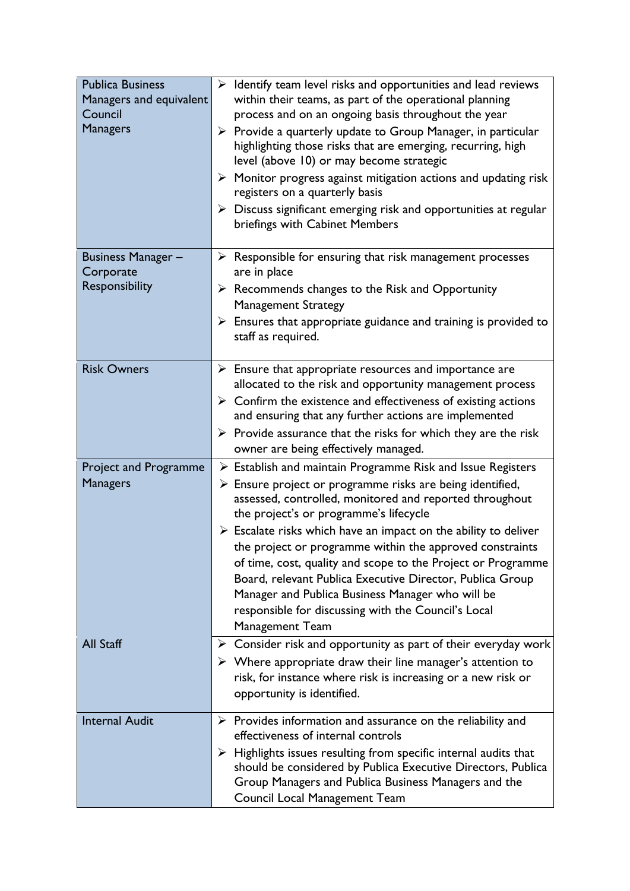| <b>Publica Business</b><br>Managers and equivalent<br>Council<br><b>Managers</b> | $\triangleright$ Identify team level risks and opportunities and lead reviews<br>within their teams, as part of the operational planning<br>process and on an ongoing basis throughout the year<br>$\triangleright$ Provide a quarterly update to Group Manager, in particular<br>highlighting those risks that are emerging, recurring, high<br>level (above 10) or may become strategic<br>$\triangleright$ Monitor progress against mitigation actions and updating risk<br>registers on a quarterly basis<br>$\triangleright$ Discuss significant emerging risk and opportunities at regular<br>briefings with Cabinet Members |
|----------------------------------------------------------------------------------|------------------------------------------------------------------------------------------------------------------------------------------------------------------------------------------------------------------------------------------------------------------------------------------------------------------------------------------------------------------------------------------------------------------------------------------------------------------------------------------------------------------------------------------------------------------------------------------------------------------------------------|
| <b>Business Manager -</b><br>Corporate                                           | $\triangleright$ Responsible for ensuring that risk management processes<br>are in place                                                                                                                                                                                                                                                                                                                                                                                                                                                                                                                                           |
| Responsibility                                                                   | $\triangleright$ Recommends changes to the Risk and Opportunity<br><b>Management Strategy</b>                                                                                                                                                                                                                                                                                                                                                                                                                                                                                                                                      |
|                                                                                  | $\triangleright$ Ensures that appropriate guidance and training is provided to<br>staff as required.                                                                                                                                                                                                                                                                                                                                                                                                                                                                                                                               |
| <b>Risk Owners</b>                                                               | $\triangleright$ Ensure that appropriate resources and importance are<br>allocated to the risk and opportunity management process                                                                                                                                                                                                                                                                                                                                                                                                                                                                                                  |
|                                                                                  | $\triangleright$ Confirm the existence and effectiveness of existing actions<br>and ensuring that any further actions are implemented                                                                                                                                                                                                                                                                                                                                                                                                                                                                                              |
|                                                                                  | $\triangleright$ Provide assurance that the risks for which they are the risk<br>owner are being effectively managed.                                                                                                                                                                                                                                                                                                                                                                                                                                                                                                              |
| <b>Project and Programme</b>                                                     | $\triangleright$ Establish and maintain Programme Risk and Issue Registers                                                                                                                                                                                                                                                                                                                                                                                                                                                                                                                                                         |
| <b>Managers</b>                                                                  | $\triangleright$ Ensure project or programme risks are being identified,<br>assessed, controlled, monitored and reported throughout<br>the project's or programme's lifecycle                                                                                                                                                                                                                                                                                                                                                                                                                                                      |
|                                                                                  | $\triangleright$ Escalate risks which have an impact on the ability to deliver                                                                                                                                                                                                                                                                                                                                                                                                                                                                                                                                                     |
|                                                                                  | the project or programme within the approved constraints                                                                                                                                                                                                                                                                                                                                                                                                                                                                                                                                                                           |
|                                                                                  | of time, cost, quality and scope to the Project or Programme<br>Board, relevant Publica Executive Director, Publica Group                                                                                                                                                                                                                                                                                                                                                                                                                                                                                                          |
|                                                                                  | Manager and Publica Business Manager who will be                                                                                                                                                                                                                                                                                                                                                                                                                                                                                                                                                                                   |
|                                                                                  | responsible for discussing with the Council's Local<br>Management Team                                                                                                                                                                                                                                                                                                                                                                                                                                                                                                                                                             |
| <b>All Staff</b>                                                                 | $\triangleright$ Consider risk and opportunity as part of their everyday work                                                                                                                                                                                                                                                                                                                                                                                                                                                                                                                                                      |
|                                                                                  | $\triangleright$ Where appropriate draw their line manager's attention to<br>risk, for instance where risk is increasing or a new risk or<br>opportunity is identified.                                                                                                                                                                                                                                                                                                                                                                                                                                                            |
| <b>Internal Audit</b>                                                            | $\triangleright$ Provides information and assurance on the reliability and<br>effectiveness of internal controls                                                                                                                                                                                                                                                                                                                                                                                                                                                                                                                   |
|                                                                                  | $\triangleright$ Highlights issues resulting from specific internal audits that<br>should be considered by Publica Executive Directors, Publica<br>Group Managers and Publica Business Managers and the<br>Council Local Management Team                                                                                                                                                                                                                                                                                                                                                                                           |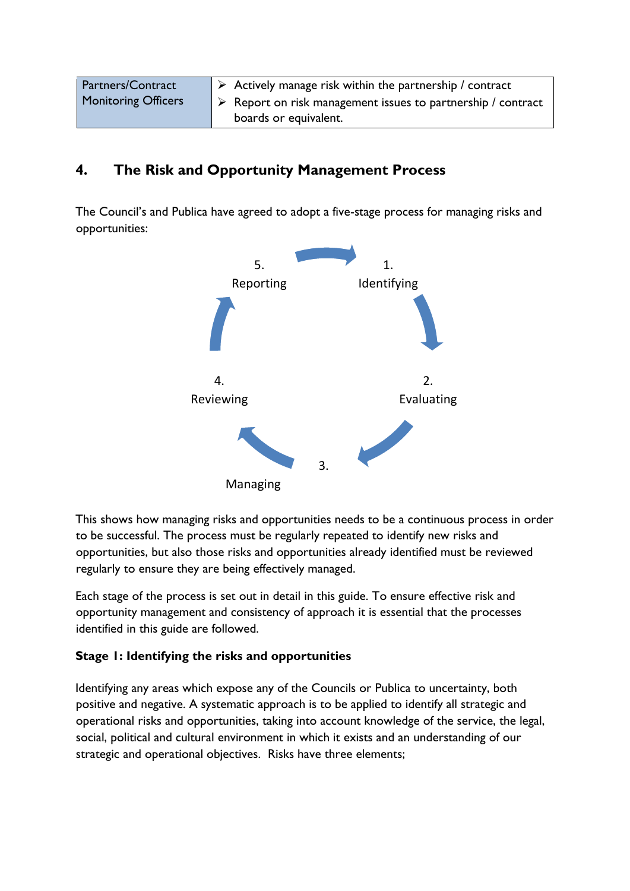| <b>Partners/Contract</b>   | $\triangleright$ Actively manage risk within the partnership / contract     |
|----------------------------|-----------------------------------------------------------------------------|
| <b>Monitoring Officers</b> | $\triangleright$ Report on risk management issues to partnership / contract |
|                            | boards or equivalent.                                                       |

### <span id="page-5-0"></span>**4. The Risk and Opportunity Management Process**

The Council's and Publica have agreed to adopt a five-stage process for managing risks and opportunities:



This shows how managing risks and opportunities needs to be a continuous process in order to be successful. The process must be regularly repeated to identify new risks and opportunities, but also those risks and opportunities already identified must be reviewed regularly to ensure they are being effectively managed.

Each stage of the process is set out in detail in this guide. To ensure effective risk and opportunity management and consistency of approach it is essential that the processes identified in this guide are followed.

#### <span id="page-5-1"></span>**Stage 1: Identifying the risks and opportunities**

Identifying any areas which expose any of the Councils or Publica to uncertainty, both positive and negative. A systematic approach is to be applied to identify all strategic and operational risks and opportunities, taking into account knowledge of the service, the legal, social, political and cultural environment in which it exists and an understanding of our strategic and operational objectives. Risks have three elements;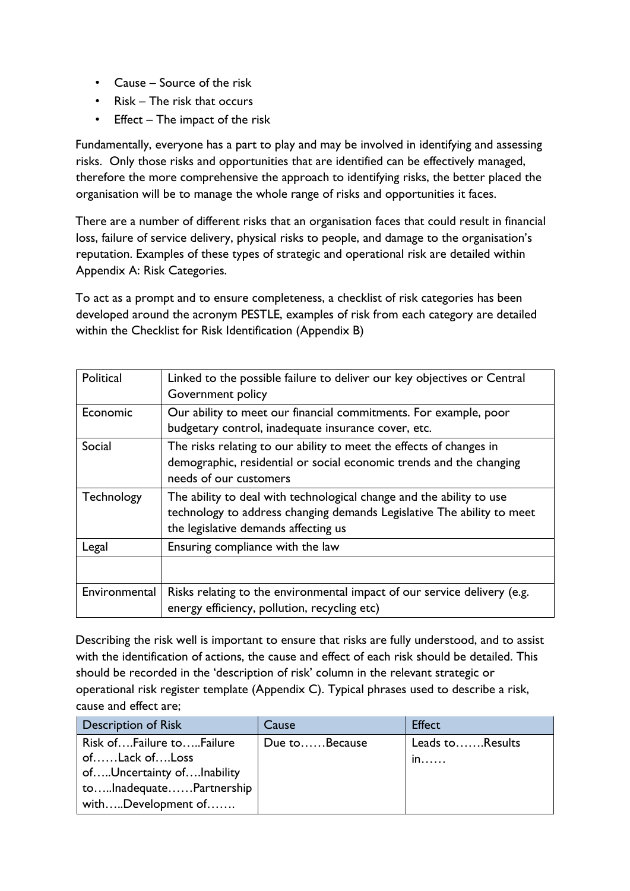- Cause Source of the risk
- Risk The risk that occurs
- Effect The impact of the risk

Fundamentally, everyone has a part to play and may be involved in identifying and assessing risks. Only those risks and opportunities that are identified can be effectively managed, therefore the more comprehensive the approach to identifying risks, the better placed the organisation will be to manage the whole range of risks and opportunities it faces.

There are a number of different risks that an organisation faces that could result in financial loss, failure of service delivery, physical risks to people, and damage to the organisation's reputation. Examples of these types of strategic and operational risk are detailed within Appendix A: Risk Categories.

To act as a prompt and to ensure completeness, a checklist of risk categories has been developed around the acronym PESTLE, examples of risk from each category are detailed within the Checklist for Risk Identification (Appendix B)

| Political         | Linked to the possible failure to deliver our key objectives or Central<br>Government policy                                                                                           |
|-------------------|----------------------------------------------------------------------------------------------------------------------------------------------------------------------------------------|
| Economic          | Our ability to meet our financial commitments. For example, poor<br>budgetary control, inadequate insurance cover, etc.                                                                |
| Social            | The risks relating to our ability to meet the effects of changes in<br>demographic, residential or social economic trends and the changing<br>needs of our customers                   |
| <b>Technology</b> | The ability to deal with technological change and the ability to use<br>technology to address changing demands Legislative The ability to meet<br>the legislative demands affecting us |
| Legal             | Ensuring compliance with the law                                                                                                                                                       |
|                   |                                                                                                                                                                                        |
| Environmental     | Risks relating to the environmental impact of our service delivery (e.g.<br>energy efficiency, pollution, recycling etc)                                                               |

Describing the risk well is important to ensure that risks are fully understood, and to assist with the identification of actions, the cause and effect of each risk should be detailed. This should be recorded in the 'description of risk' column in the relevant strategic or operational risk register template (Appendix C). Typical phrases used to describe a risk, cause and effect are;

| Description of Risk                                                    | Cause         | <b>Effect</b>         |
|------------------------------------------------------------------------|---------------|-----------------------|
| Risk ofFailure toFailure<br>ofLack ofLoss<br>ofUncertainty ofInability | Due toBecause | Leads toResults<br>in |
| toInadequatePartnership<br>withDevelopment of                          |               |                       |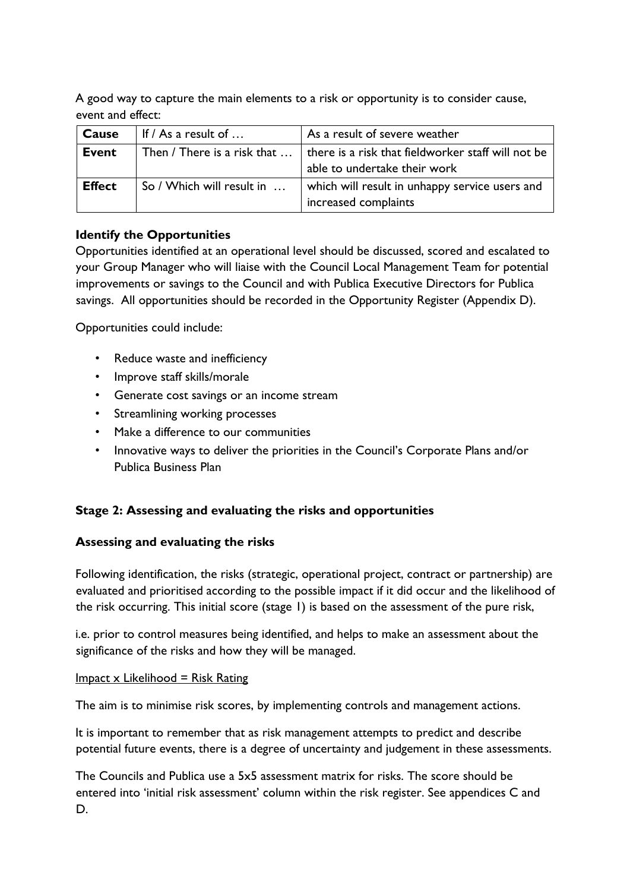A good way to capture the main elements to a risk or opportunity is to consider cause, event and effect:

| Cause         | If $/$ As a result of $$  | As a result of severe weather                                                                                            |
|---------------|---------------------------|--------------------------------------------------------------------------------------------------------------------------|
| Event         |                           | Then / There is a risk that $\dots$   there is a risk that fieldworker staff will not be<br>able to undertake their work |
| <b>Effect</b> | So / Which will result in | which will result in unhappy service users and<br>increased complaints                                                   |

#### **Identify the Opportunities**

Opportunities identified at an operational level should be discussed, scored and escalated to your Group Manager who will liaise with the Council Local Management Team for potential improvements or savings to the Council and with Publica Executive Directors for Publica savings. All opportunities should be recorded in the Opportunity Register (Appendix D).

Opportunities could include:

- Reduce waste and inefficiency
- Improve staff skills/morale
- Generate cost savings or an income stream
- Streamlining working processes
- Make a difference to our communities
- Innovative ways to deliver the priorities in the Council's Corporate Plans and/or Publica Business Plan

#### <span id="page-7-0"></span>**Stage 2: Assessing and evaluating the risks and opportunities**

#### **Assessing and evaluating the risks**

Following identification, the risks (strategic, operational project, contract or partnership) are evaluated and prioritised according to the possible impact if it did occur and the likelihood of the risk occurring. This initial score (stage 1) is based on the assessment of the pure risk,

i.e. prior to control measures being identified, and helps to make an assessment about the significance of the risks and how they will be managed.

#### $Im$ pact x Likelihood = Risk Rating

The aim is to minimise risk scores, by implementing controls and management actions.

It is important to remember that as risk management attempts to predict and describe potential future events, there is a degree of uncertainty and judgement in these assessments.

The Councils and Publica use a 5x5 assessment matrix for risks. The score should be entered into 'initial risk assessment' column within the risk register. See appendices C and D.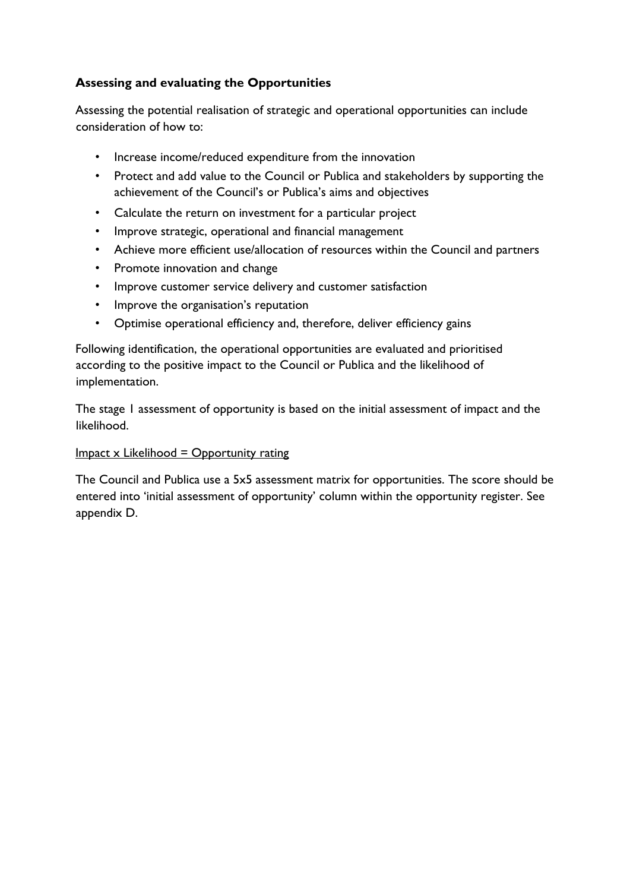#### **Assessing and evaluating the Opportunities**

Assessing the potential realisation of strategic and operational opportunities can include consideration of how to:

- Increase income/reduced expenditure from the innovation
- Protect and add value to the Council or Publica and stakeholders by supporting the achievement of the Council's or Publica's aims and objectives
- Calculate the return on investment for a particular project
- Improve strategic, operational and financial management
- Achieve more efficient use/allocation of resources within the Council and partners
- Promote innovation and change
- Improve customer service delivery and customer satisfaction
- Improve the organisation's reputation
- Optimise operational efficiency and, therefore, deliver efficiency gains

Following identification, the operational opportunities are evaluated and prioritised according to the positive impact to the Council or Publica and the likelihood of implementation.

The stage 1 assessment of opportunity is based on the initial assessment of impact and the likelihood.

#### $Im$ pact x Likelihood = Opportunity rating

The Council and Publica use a 5x5 assessment matrix for opportunities. The score should be entered into 'initial assessment of opportunity' column within the opportunity register. See appendix D.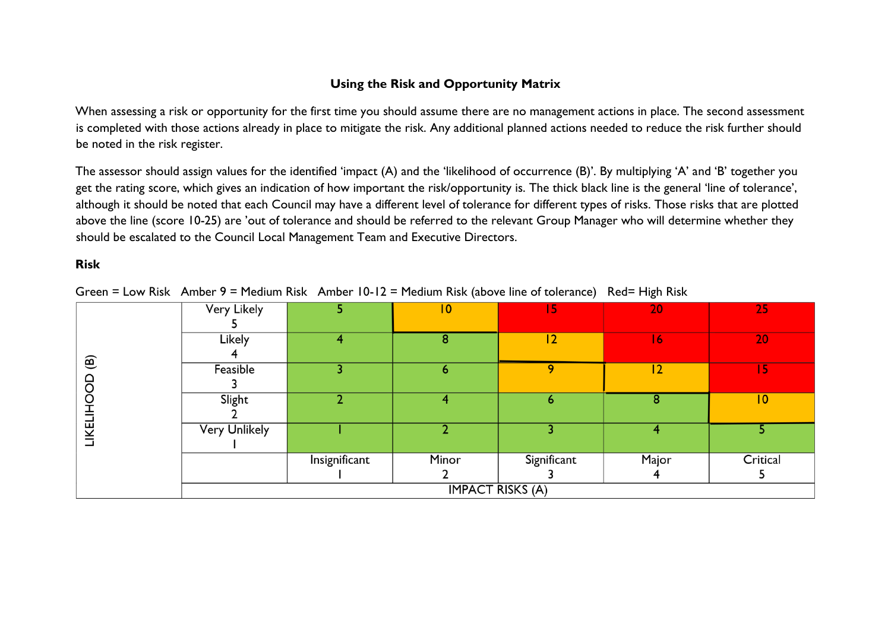#### **Using the Risk and Opportunity Matrix**

When assessing a risk or opportunity for the first time you should assume there are no management actions in place. The second assessment is completed with those actions already in place to mitigate the risk. Any additional planned actions needed to reduce the risk further should be noted in the risk register.

The assessor should assign values for the identified 'impact (A) and the 'likelihood of occurrence (B)'. By multiplying 'A' and 'B' together you get the rating score, which gives an indication of how important the risk/opportunity is. The thick black line is the general 'line of tolerance', although it should be noted that each Council may have a different level of tolerance for different types of risks. Those risks that are plotted above the line (score 10-25) are 'out of tolerance and should be referred to the relevant Group Manager who will determine whether they should be escalated to the Council Local Management Team and Executive Directors.

#### **Risk**

Green = Low Risk Amber 9 = Medium Risk Amber 10-12 = Medium Risk (above line of tolerance) Red= High Risk

|                 | <b>Very Likely</b>   | 5              | $\overline{10}$         | 15          | 20    | 25              |
|-----------------|----------------------|----------------|-------------------------|-------------|-------|-----------------|
|                 |                      |                |                         |             |       |                 |
|                 | Likely               | 4              | 8                       | 12          | 16    | 20              |
| ම               |                      |                |                         |             |       |                 |
|                 | Feasible             | 3              | ь                       | 9           | 2     | 15              |
| 8               |                      |                |                         |             |       |                 |
|                 | Slight               | $\overline{2}$ | 4                       | 6           | 8     | $\overline{10}$ |
| <b>LIKELIHO</b> |                      |                |                         |             |       |                 |
|                 | <b>Very Unlikely</b> |                |                         |             | 4     |                 |
|                 |                      |                |                         |             |       |                 |
|                 |                      | Insignificant  | Minor                   | Significant | Major | Critical        |
|                 |                      |                |                         |             |       |                 |
|                 |                      |                | <b>IMPACT RISKS (A)</b> |             |       |                 |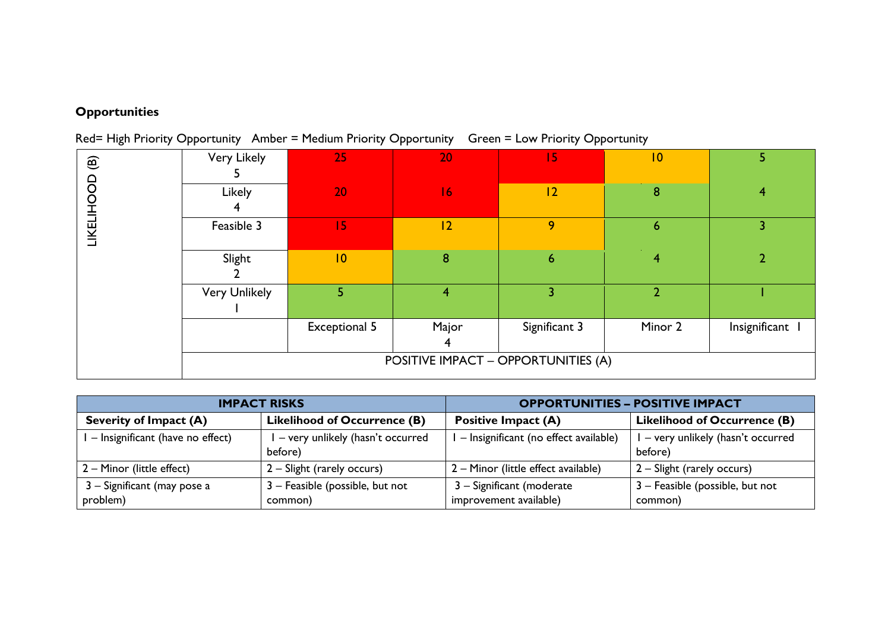# **Opportunities**

Red= High Priority Opportunity Amber = Medium Priority Opportunity Green = Low Priority Opportunity

| $\circlede$<br>LIKELIHOOD           | Very Likely          | 25                   | 20             | 15            | 10              | 5.            |
|-------------------------------------|----------------------|----------------------|----------------|---------------|-----------------|---------------|
|                                     | Likely               | 20                   | 16             | 12            | 8               | 4             |
|                                     | Feasible 3           | 15                   | 12             | 9             | $6\phantom{1}6$ | 3             |
|                                     | Slight               | 10                   | 8              | 6             | 4               |               |
|                                     | <b>Very Unlikely</b> | 5                    | $\overline{4}$ | 3             | $\overline{2}$  |               |
|                                     |                      | <b>Exceptional 5</b> | Major<br>4     | Significant 3 | Minor 2         | Insignificant |
| POSITIVE IMPACT - OPPORTUNITIES (A) |                      |                      |                |               |                 |               |

|                                         | <b>IMPACT RISKS</b>                         | <b>OPPORTUNITIES - POSITIVE IMPACT</b>              |                                               |  |
|-----------------------------------------|---------------------------------------------|-----------------------------------------------------|-----------------------------------------------|--|
| <b>Severity of Impact (A)</b>           | <b>Likelihood of Occurrence (B)</b>         | <b>Positive Impact (A)</b>                          | <b>Likelihood of Occurrence (B)</b>           |  |
| I - Insignificant (have no effect)      | - very unlikely (hasn't occurred<br>before) | - Insignificant (no effect available)               | I - very unlikely (hasn't occurred<br>before) |  |
| 2 – Minor (little effect)               | 2 – Slight (rarely occurs)                  | 2 - Minor (little effect available)                 | 2 – Slight (rarely occurs)                    |  |
| 3 – Significant (may pose a<br>problem) | 3 - Feasible (possible, but not<br>common)  | 3 - Significant (moderate<br>improvement available) | 3 - Feasible (possible, but not<br>common)    |  |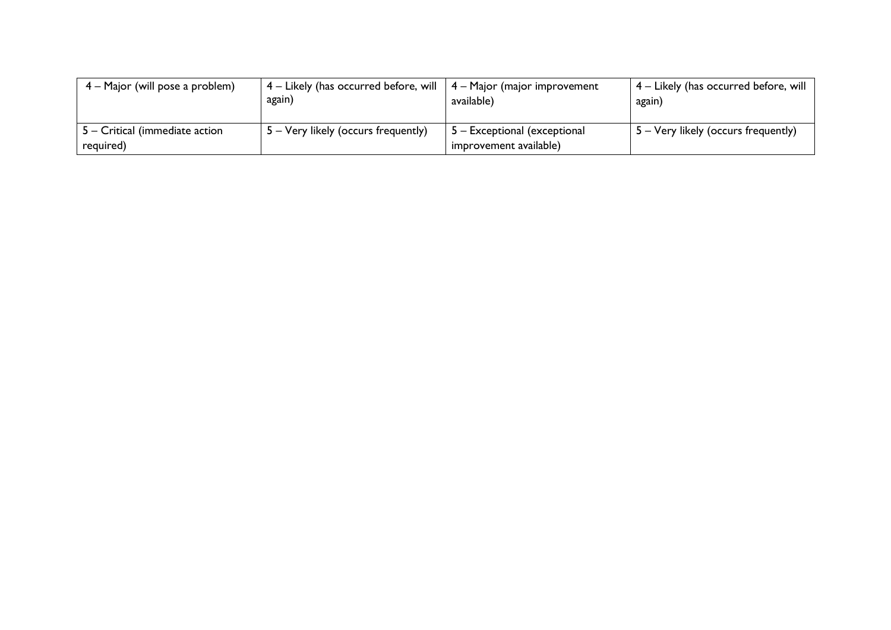| 4 – Major (will pose a problem)                     | $4$ – Likely (has occurred before, will $\vert 4$ – Major (major improvement<br>again) | available)                                             | $\mid$ 4 – Likely (has occurred before, will<br>again) |
|-----------------------------------------------------|----------------------------------------------------------------------------------------|--------------------------------------------------------|--------------------------------------------------------|
| $\vert$ 5 – Critical (immediate action<br>required) | 5 – Very likely (occurs frequently)                                                    | 5 – Exceptional (exceptional<br>improvement available) | 5 – Very likely (occurs frequently)                    |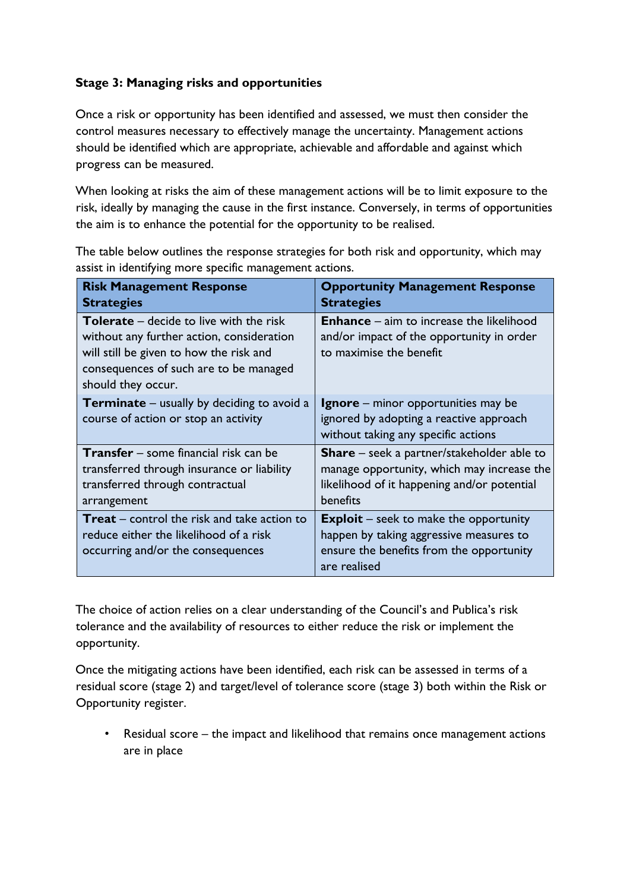#### <span id="page-12-0"></span>**Stage 3: Managing risks and opportunities**

Once a risk or opportunity has been identified and assessed, we must then consider the control measures necessary to effectively manage the uncertainty. Management actions should be identified which are appropriate, achievable and affordable and against which progress can be measured.

When looking at risks the aim of these management actions will be to limit exposure to the risk, ideally by managing the cause in the first instance. Conversely, in terms of opportunities the aim is to enhance the potential for the opportunity to be realised.

The table below outlines the response strategies for both risk and opportunity, which may assist in identifying more specific management actions.

| <b>Risk Management Response</b><br><b>Strategies</b>                                                                                                                                                   | <b>Opportunity Management Response</b><br><b>Strategies</b>                                                                                                |
|--------------------------------------------------------------------------------------------------------------------------------------------------------------------------------------------------------|------------------------------------------------------------------------------------------------------------------------------------------------------------|
| <b>Tolerate</b> – decide to live with the risk<br>without any further action, consideration<br>will still be given to how the risk and<br>consequences of such are to be managed<br>should they occur. | <b>Enhance</b> – aim to increase the likelihood<br>and/or impact of the opportunity in order<br>to maximise the benefit                                    |
| <b>Terminate</b> – usually by deciding to avoid a<br>course of action or stop an activity                                                                                                              | <b>Ignore</b> – minor opportunities may be<br>ignored by adopting a reactive approach<br>without taking any specific actions                               |
| <b>Transfer</b> – some financial risk can be<br>transferred through insurance or liability<br>transferred through contractual<br>arrangement                                                           | <b>Share</b> – seek a partner/stakeholder able to<br>manage opportunity, which may increase the<br>likelihood of it happening and/or potential<br>benefits |
| <b>Treat</b> – control the risk and take action to<br>reduce either the likelihood of a risk<br>occurring and/or the consequences                                                                      | <b>Exploit</b> – seek to make the opportunity<br>happen by taking aggressive measures to<br>ensure the benefits from the opportunity<br>are realised       |

The choice of action relies on a clear understanding of the Council's and Publica's risk tolerance and the availability of resources to either reduce the risk or implement the opportunity.

Once the mitigating actions have been identified, each risk can be assessed in terms of a residual score (stage 2) and target/level of tolerance score (stage 3) both within the Risk or Opportunity register.

• Residual score – the impact and likelihood that remains once management actions are in place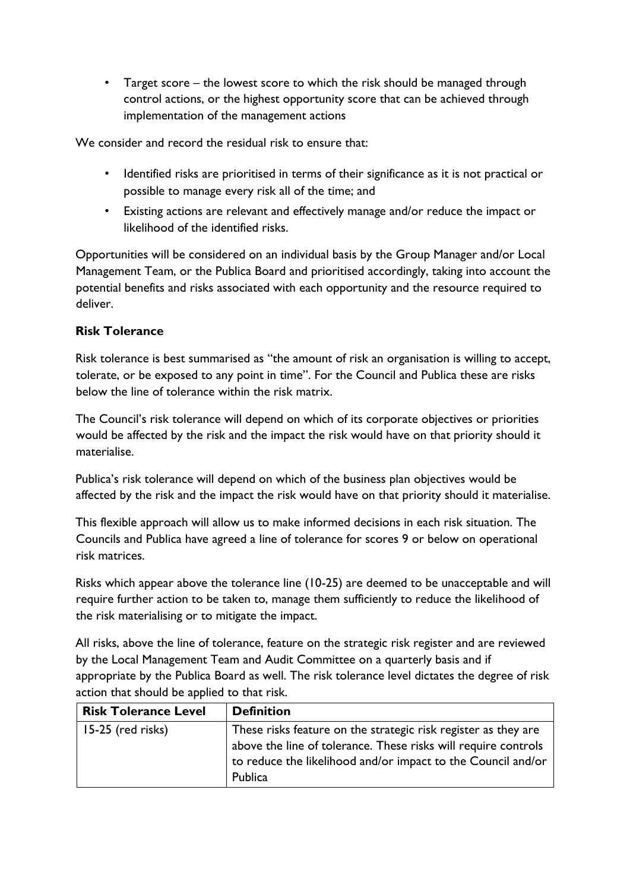• Target score – the lowest score to which the risk should be managed through control actions, or the highest opportunity score that can be achieved through implementation of the management actions

We consider and record the residual risk to ensure that:

- Identified risks are prioritised in terms of their significance as it is not practical or possible to manage every risk all of the time; and
- Existing actions are relevant and effectively manage and/or reduce the impact or likelihood of the identified risks.

Opportunities will be considered on an individual basis by the Group Manager and/or Local Management Team, or the Publica Board and prioritised accordingly, taking into account the potential benefits and risks associated with each opportunity and the resource required to deliver.

#### **Risk Tolerance**

Risk tolerance is best summarised as "the amount of risk an organisation is willing to accept, tolerate, or be exposed to any point in time". For the Council and Publica these are risks below the line of tolerance within the risk matrix.

The Council's risk tolerance will depend on which of its corporate objectives or priorities would be affected by the risk and the impact the risk would have on that priority should it materialise.

Publica's risk tolerance will depend on which of the business plan objectives would be affected by the risk and the impact the risk would have on that priority should it materialise.

This flexible approach will allow us to make informed decisions in each risk situation. The Councils and Publica have agreed a line of tolerance for scores 9 or below on operational risk matrices.

Risks which appear above the tolerance line (10-25) are deemed to be unacceptable and will require further action to be taken to, manage them sufficiently to reduce the likelihood of the risk materialising or to mitigate the impact.

All risks, above the line of tolerance, feature on the strategic risk register and are reviewed by the Local Management Team and Audit Committee on a quarterly basis and if appropriate by the Publica Board as well. The risk tolerance level dictates the degree of risk action that should be applied to that risk.

| <b>Risk Tolerance Level</b> | <b>Definition</b>                                                                                                                                                                                           |
|-----------------------------|-------------------------------------------------------------------------------------------------------------------------------------------------------------------------------------------------------------|
| 15-25 (red risks)           | These risks feature on the strategic risk register as they are<br>above the line of tolerance. These risks will require controls<br>to reduce the likelihood and/or impact to the Council and/or<br>Publica |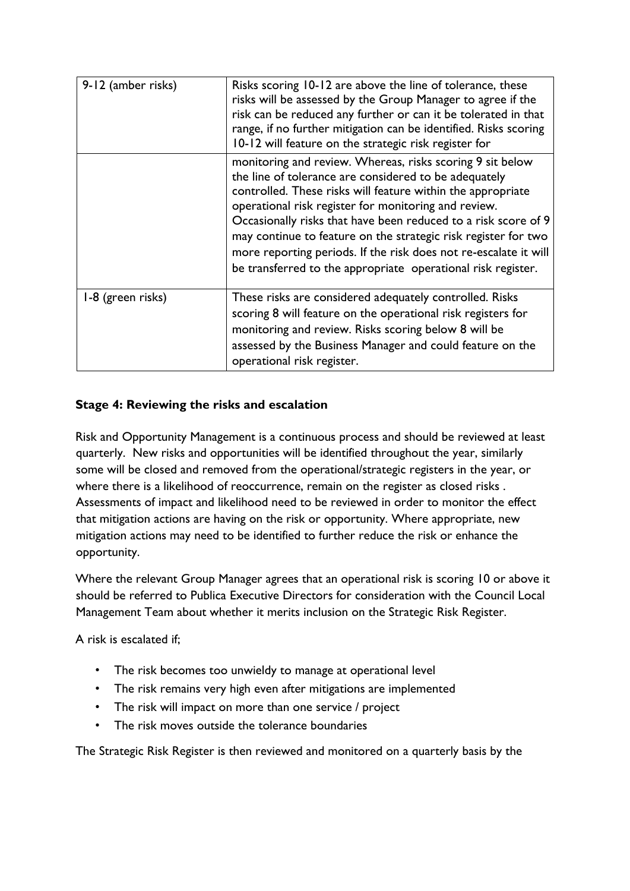| 9-12 (amber risks) | Risks scoring 10-12 are above the line of tolerance, these<br>risks will be assessed by the Group Manager to agree if the<br>risk can be reduced any further or can it be tolerated in that<br>range, if no further mitigation can be identified. Risks scoring<br>10-12 will feature on the strategic risk register for                                                                                                                                                                                          |  |  |  |  |  |
|--------------------|-------------------------------------------------------------------------------------------------------------------------------------------------------------------------------------------------------------------------------------------------------------------------------------------------------------------------------------------------------------------------------------------------------------------------------------------------------------------------------------------------------------------|--|--|--|--|--|
|                    | monitoring and review. Whereas, risks scoring 9 sit below<br>the line of tolerance are considered to be adequately<br>controlled. These risks will feature within the appropriate<br>operational risk register for monitoring and review.<br>Occasionally risks that have been reduced to a risk score of 9<br>may continue to feature on the strategic risk register for two<br>more reporting periods. If the risk does not re-escalate it will<br>be transferred to the appropriate operational risk register. |  |  |  |  |  |
| 1-8 (green risks)  | These risks are considered adequately controlled. Risks<br>scoring 8 will feature on the operational risk registers for<br>monitoring and review. Risks scoring below 8 will be<br>assessed by the Business Manager and could feature on the<br>operational risk register.                                                                                                                                                                                                                                        |  |  |  |  |  |

#### <span id="page-14-0"></span>**Stage 4: Reviewing the risks and escalation**

Risk and Opportunity Management is a continuous process and should be reviewed at least quarterly. New risks and opportunities will be identified throughout the year, similarly some will be closed and removed from the operational/strategic registers in the year, or where there is a likelihood of reoccurrence, remain on the register as closed risks . Assessments of impact and likelihood need to be reviewed in order to monitor the effect that mitigation actions are having on the risk or opportunity. Where appropriate, new mitigation actions may need to be identified to further reduce the risk or enhance the opportunity.

Where the relevant Group Manager agrees that an operational risk is scoring 10 or above it should be referred to Publica Executive Directors for consideration with the Council Local Management Team about whether it merits inclusion on the Strategic Risk Register.

A risk is escalated if;

- The risk becomes too unwieldy to manage at operational level
- The risk remains very high even after mitigations are implemented
- The risk will impact on more than one service / project
- The risk moves outside the tolerance boundaries

The Strategic Risk Register is then reviewed and monitored on a quarterly basis by the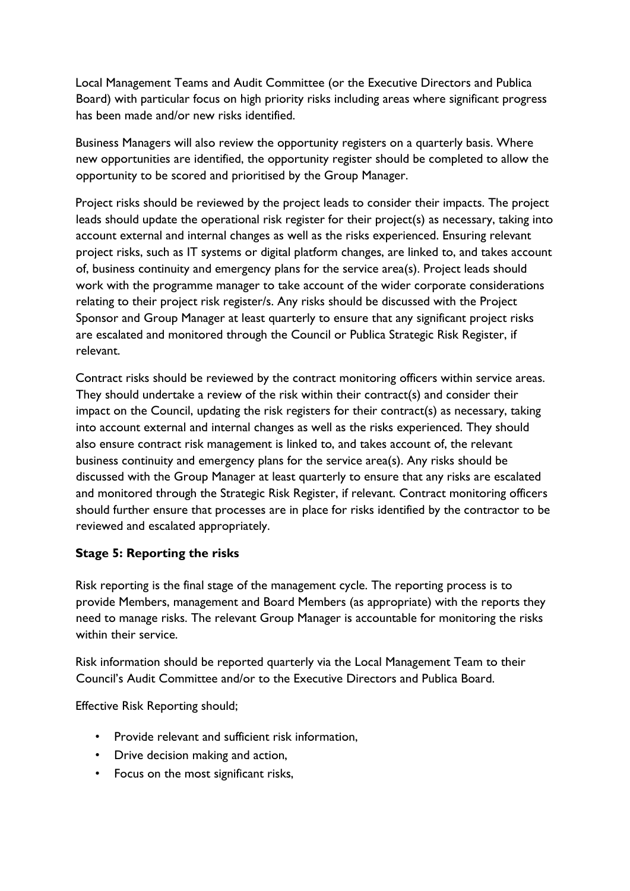Local Management Teams and Audit Committee (or the Executive Directors and Publica Board) with particular focus on high priority risks including areas where significant progress has been made and/or new risks identified.

Business Managers will also review the opportunity registers on a quarterly basis. Where new opportunities are identified, the opportunity register should be completed to allow the opportunity to be scored and prioritised by the Group Manager.

Project risks should be reviewed by the project leads to consider their impacts. The project leads should update the operational risk register for their project(s) as necessary, taking into account external and internal changes as well as the risks experienced. Ensuring relevant project risks, such as IT systems or digital platform changes, are linked to, and takes account of, business continuity and emergency plans for the service area(s). Project leads should work with the programme manager to take account of the wider corporate considerations relating to their project risk register/s. Any risks should be discussed with the Project Sponsor and Group Manager at least quarterly to ensure that any significant project risks are escalated and monitored through the Council or Publica Strategic Risk Register, if relevant.

Contract risks should be reviewed by the contract monitoring officers within service areas. They should undertake a review of the risk within their contract(s) and consider their impact on the Council, updating the risk registers for their contract(s) as necessary, taking into account external and internal changes as well as the risks experienced. They should also ensure contract risk management is linked to, and takes account of, the relevant business continuity and emergency plans for the service area(s). Any risks should be discussed with the Group Manager at least quarterly to ensure that any risks are escalated and monitored through the Strategic Risk Register, if relevant. Contract monitoring officers should further ensure that processes are in place for risks identified by the contractor to be reviewed and escalated appropriately.

#### <span id="page-15-0"></span>**Stage 5: Reporting the risks**

Risk reporting is the final stage of the management cycle. The reporting process is to provide Members, management and Board Members (as appropriate) with the reports they need to manage risks. The relevant Group Manager is accountable for monitoring the risks within their service.

Risk information should be reported quarterly via the Local Management Team to their Council's Audit Committee and/or to the Executive Directors and Publica Board.

Effective Risk Reporting should;

- Provide relevant and sufficient risk information,
- Drive decision making and action,
- Focus on the most significant risks,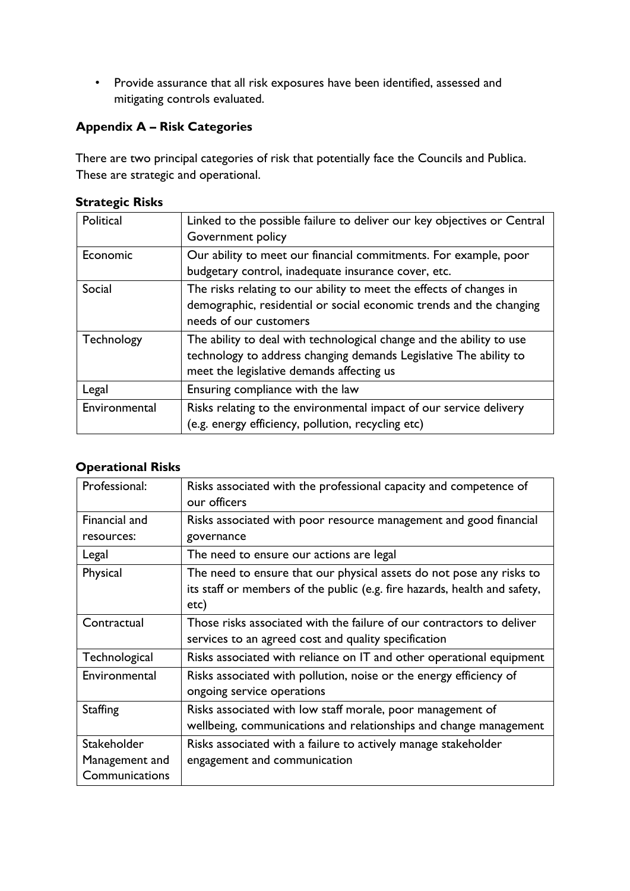• Provide assurance that all risk exposures have been identified, assessed and mitigating controls evaluated.

### <span id="page-16-0"></span>**Appendix A – Risk Categories**

There are two principal categories of risk that potentially face the Councils and Publica. These are strategic and operational.

| Political     | Linked to the possible failure to deliver our key objectives or Central<br>Government policy                                                                                           |
|---------------|----------------------------------------------------------------------------------------------------------------------------------------------------------------------------------------|
| Economic      | Our ability to meet our financial commitments. For example, poor<br>budgetary control, inadequate insurance cover, etc.                                                                |
| Social        | The risks relating to our ability to meet the effects of changes in<br>demographic, residential or social economic trends and the changing<br>needs of our customers                   |
| Technology    | The ability to deal with technological change and the ability to use<br>technology to address changing demands Legislative The ability to<br>meet the legislative demands affecting us |
| Legal         | Ensuring compliance with the law                                                                                                                                                       |
| Environmental | Risks relating to the environmental impact of our service delivery<br>(e.g. energy efficiency, pollution, recycling etc)                                                               |

#### **Strategic Risks**

#### **Operational Risks**

| Professional:   | Risks associated with the professional capacity and competence of         |
|-----------------|---------------------------------------------------------------------------|
|                 | our officers                                                              |
| Financial and   | Risks associated with poor resource management and good financial         |
| resources:      | governance                                                                |
| Legal           | The need to ensure our actions are legal                                  |
| Physical        | The need to ensure that our physical assets do not pose any risks to      |
|                 | its staff or members of the public (e.g. fire hazards, health and safety, |
|                 | etc)                                                                      |
| Contractual     | Those risks associated with the failure of our contractors to deliver     |
|                 | services to an agreed cost and quality specification                      |
| Technological   | Risks associated with reliance on IT and other operational equipment      |
| Environmental   | Risks associated with pollution, noise or the energy efficiency of        |
|                 | ongoing service operations                                                |
| <b>Staffing</b> | Risks associated with low staff morale, poor management of                |
|                 | wellbeing, communications and relationships and change management         |
| Stakeholder     | Risks associated with a failure to actively manage stakeholder            |
| Management and  | engagement and communication                                              |
| Communications  |                                                                           |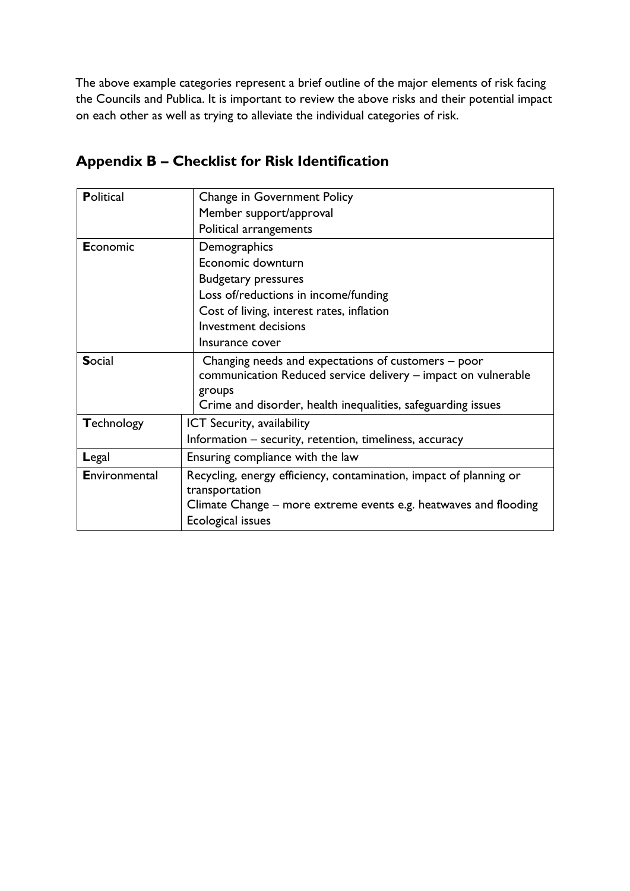The above example categories represent a brief outline of the major elements of risk facing the Councils and Publica. It is important to review the above risks and their potential impact on each other as well as trying to alleviate the individual categories of risk.

# <span id="page-17-0"></span>**Appendix B – Checklist for Risk Identification**

| <b>Political</b>  | Change in Government Policy                                        |
|-------------------|--------------------------------------------------------------------|
|                   | Member support/approval                                            |
|                   | Political arrangements                                             |
| Economic          | Demographics                                                       |
|                   | Economic downturn                                                  |
|                   | <b>Budgetary pressures</b>                                         |
|                   | Loss of/reductions in income/funding                               |
|                   | Cost of living, interest rates, inflation                          |
|                   | <b>Investment decisions</b>                                        |
|                   | Insurance cover                                                    |
| <b>Social</b>     | Changing needs and expectations of customers – poor                |
|                   | communication Reduced service delivery - impact on vulnerable      |
|                   | groups                                                             |
|                   | Crime and disorder, health inequalities, safeguarding issues       |
| <b>Technology</b> | <b>ICT Security, availability</b>                                  |
|                   | Information – security, retention, timeliness, accuracy            |
| Legal             | Ensuring compliance with the law                                   |
| Environmental     | Recycling, energy efficiency, contamination, impact of planning or |
|                   | transportation                                                     |
|                   | Climate Change – more extreme events e.g. heatwaves and flooding   |
|                   | <b>Ecological issues</b>                                           |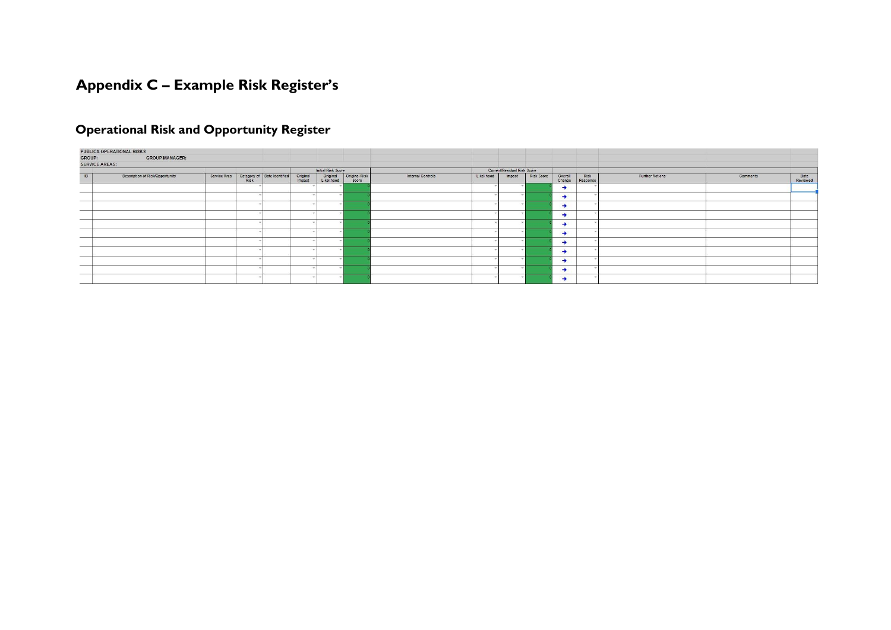# **Appendix C – Example Risk Register's**

# **Operational Risk and Opportunity Register**

<span id="page-18-0"></span>

|                       | PUBLICA OPERATIONAL RISKS              |                                                                  |  |                        |               |                   |            |                             |            |               |                                 |                        |          |                  |
|-----------------------|----------------------------------------|------------------------------------------------------------------|--|------------------------|---------------|-------------------|------------|-----------------------------|------------|---------------|---------------------------------|------------------------|----------|------------------|
| GROUP:                | <b>GROUP MANAGER:</b>                  |                                                                  |  |                        |               |                   |            |                             |            |               |                                 |                        |          |                  |
| <b>SERVICE AREAS:</b> |                                        |                                                                  |  |                        |               |                   |            |                             |            |               |                                 |                        |          |                  |
|                       |                                        |                                                                  |  | Initial Risk Score     |               |                   |            | Current/Residual Risk Score |            |               |                                 |                        |          |                  |
| ID                    | <b>Description of Risk/Opportunity</b> | Service Area Category of Date Identified Original<br>Risk Impact |  | Original<br>Likelihood | Original Risk | Internal Controls | Likelihood | Impact                      | Risk Score |               | Overall Risk<br>Change Response | <b>Further Actions</b> | Comments | Date<br>Reviewed |
|                       |                                        |                                                                  |  |                        |               |                   |            |                             |            | $\rightarrow$ |                                 |                        |          |                  |
| _                     |                                        |                                                                  |  |                        |               |                   |            |                             |            | ٠             |                                 |                        |          |                  |
|                       |                                        |                                                                  |  |                        |               |                   |            |                             |            | ٠             |                                 |                        |          |                  |
|                       |                                        |                                                                  |  |                        |               |                   |            |                             |            | ٠             |                                 |                        |          |                  |
|                       |                                        |                                                                  |  |                        |               |                   |            |                             |            | ٠             |                                 |                        |          |                  |
| ---                   |                                        |                                                                  |  |                        |               |                   |            |                             |            | $\rightarrow$ |                                 |                        |          |                  |
|                       |                                        |                                                                  |  |                        |               |                   |            |                             |            | →             |                                 |                        |          |                  |
| _                     |                                        |                                                                  |  |                        |               |                   |            |                             |            | ۰             |                                 |                        |          |                  |
|                       |                                        |                                                                  |  |                        |               |                   |            |                             |            | ۰             |                                 |                        |          |                  |
|                       |                                        |                                                                  |  |                        |               |                   |            |                             |            | ٠             |                                 |                        |          |                  |
| <b>CONTINUES</b>      |                                        |                                                                  |  |                        |               |                   |            |                             |            | ٠             |                                 |                        |          |                  |